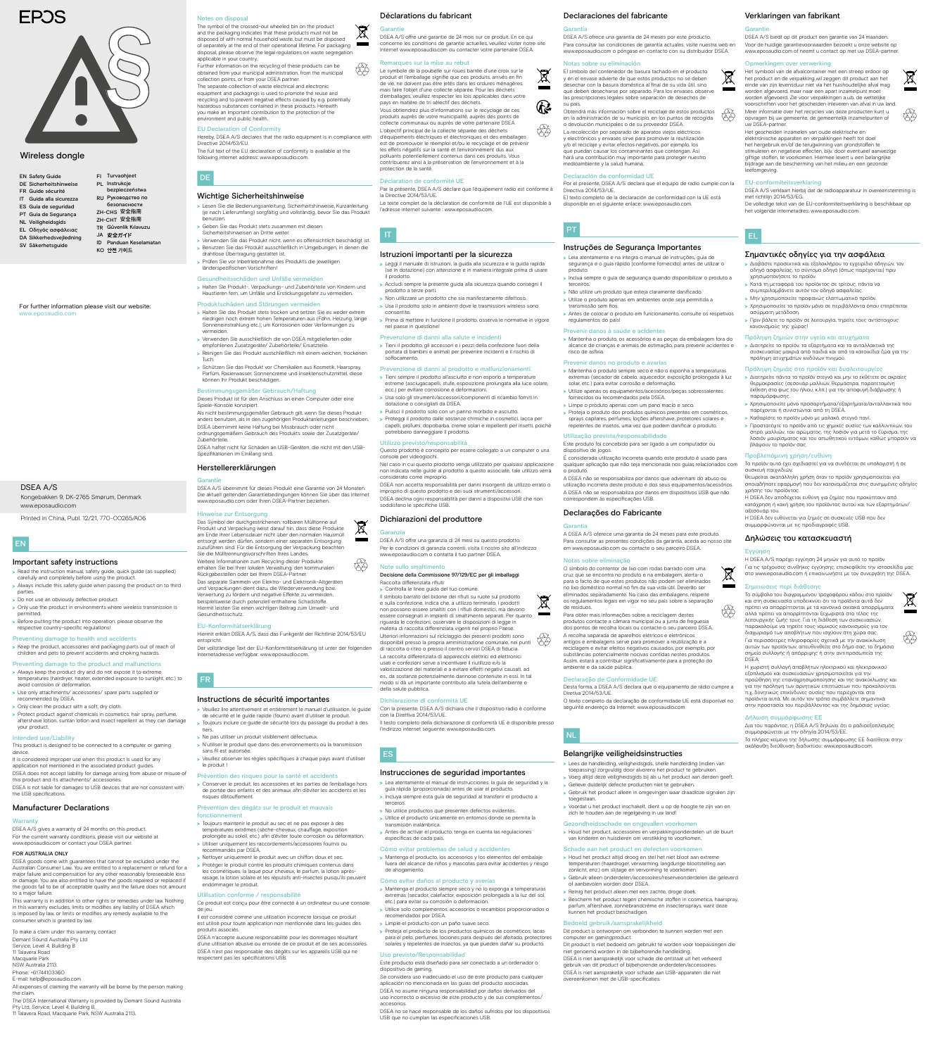#### Déclarations du fabricant

#### $\boxtimes$ Garanti

 $\bigotimes_{i=1}^{n}$ 

DSEA A/S offre une garantie de 24 mois sur ce produit. En ce qui concerne les conditions de garantie actuelles, veuillez visiter notre site Internet www.eposaudio.com ou contacter votre partenaire DSEA.

#### marques sur la mise au rebut

Le symbole de la poubelle sur roues barrée d'une croix sur le produit et l'emballage signifie que ces produits, arrivés en fin de vie, ne doivent pas être jetés dans les ordures ménagères, mais faire l'objet d'une collecte séparée. Pour les déchets d'emballages, veuillez respecter les lois applicables dans votre pays en matière de tri sélectif des déchets.  $\mathfrak{G}$ Vous obtiendrez plus d'informations sur le recyclage de ces produits auprès de votre municipalité, auprès des p collecte communaux ou auprès de votre partenaire DSEA t. L'objectif principal de la collecte séparée des déchets d'équipements électriques et électroniques et des emballages est de promouvoir le réemploi et/ou le recyclage et de prévenir les effets négatifs sur la santé et l'environnement dus aux polluants potentiellement contenus dans ces produits. Vous contribuerez ainsi à la préservation de l'environnement et à la protection de la santé.

#### Déclaration de conformité UE

Par la présente, DSEA A/S déclare que l'équipement radio est conforme à la Directive 2014/53/UE. Le texte complet de la déclaration de conformité de l'UE est disponible à

- > Tieni sempre il prodotto all'asciutto e non esporlo a temperature estreme (asciugacapelli, stufe, esposizione prolungata alla luce solare,
- ecc.) per evitare corrosione e deformazioni. >>Usa solo gli strumenti/accessori/componenti di ricambio forniti in
- dotazione o consigliati da DSEA. >>Pulisci il prodotto solo con un panno morbido e asciutto.
- >>Proteggi il prodotto dalle sostanze chimiche in cosmetici, lacca per capelli, profumi, dopobarba, creme solari e repellenti per insetti, poiché potrebbero danneggiare il prodotto.

l'adresse internet suivante : www.eposaudio.com.

# IT

#### Istruzioni importanti per la sicurezza

#### $\cancel{\mathbb{X}}$ Garanzia

- >>Leggi il manuale di istruzioni, la guida alla sicurezza e la guida rapida (se in dotazione) con attenzione e in maniera integrale prima di usare il prodotto.
- >>Accludi sempre la presente guida alla sicurezza quando consegni il prodotto a terze parti.
- > Non utilizzare un prodotto che sia manifestamente difettoso. >>Usa il prodotto solo in ambienti dove le trasmissioni wireless sono consentite.
- > Prima di mettere in funzione il prodotto, osserva le normative in vigore nel paese in questione!

#### zione di danni alla salute e incident

#### Note sullo smaltimento 43

>>Controlla le linee guida del tuo comune. Il simbolo barrato del bidone dei rifiuti su ruote sul prodotto e sulla confezione, indica che, a utilizzo terminato, i prodotti non possono essere smaltiti con i rifiuti domestici, ma devono essere consegnati in impianti di smaltimento separati. Per quanto riguarda le confezioni, osservare le disposizioni di legge in ateria di raccolta differenziata vigenti nel proprio Paese Ulteriori informazioni sul riciclaggio dei presenti prodotti sono disponibili presso la propria amministrazione comunale, nei punti di raccolta o ritiro o presso il centro servizi DSEA di fiducia. La raccolta differenziata di apparecchi elettrici ed elettronici usati e confezioni serve a incentivare il riutilizzo e/o la valorizzazione dei materiali e a evitare effetti negativi causati, ad es., da sostanze potenzialmente dannose contenute in essi. In tal modo si dà un importante contributo alla tutela dell'ambiente e della salute pubblica. f

>>Tieni il prodotto, gli accessori e i pezzi della confezione fuori della portata di bambini e animali per prevenire incidenti e il rischio di soffocamento.

#### Prevenzione di danni al prodotto e malfunzionamenti

#### Utilizzo previsto/responsabilità

- Questo prodotto è concepito per essere collegato a un computer o una nsole per videogiochi.
- Nel caso in cui questo prodotto venga utilizzato per qualsiasi applicazione non indicata nelle guide al prodotto a questo associate, tale utilizzo verrà considerato come improprio.
- DSEA non accetta responsabilità per danni insorgenti da utilizzo errato o improprio di questo prodotto e dei suoi strumenti/accesso DSEA declina ogni responsabilità per danni a dispositivi USB che non soddisfano le specifiche USB.

## Dichiarazioni del produttore

> Read the instruction manual, safety guide, quick guide (as supplied) carefully and completely before using the product.

DSEA A/S offre una garanzia di 24 mesi su questo prodotto. Per le condizioni di garanzia correnti, visita il nostro sito all'indirizzo www.eposaudio.com o contatta il tuo partner DSEA.

- > Always include this safety guide when passing the product on to third parties.
- > Do not use an obviously defective product
- > Only use the product in environments where wireless transmission is
- permitted. > Before putting the product into operation, please observe the respective country-specific regulations!

Decisione della Commissione 97/129/EC per gli imballaggi Raccolta differenziata rifiuti:

- application not mentioned in the associated product guides. DSEA does not accept liability for damage arising from abuse or misuse of this product and its attachments/ accessories.
- DSEA is not liable for damages to USB devices that are not consistent with the USB specificati

DSEA A/S gives a warranty of 24 months on this product. For the current warranty conditions, please visit our website at www.eposaudio.com or contact your DSEA partner.

DSEA goods come with guarantees that cannot be excluded under the Australian Consumer Law. You are entitled to a replacement or refund for a major failure and compensation for any other reasonably foreseeable loss or damage. You are also entitled to have the goods repaired or replaced if the goods fail to be of acceptable quality and the failure does not amount to a major failure.

#### Dichiarazione di conformità UE

Con la presente, DSEA A/S dichiara che il dispositivo radio è conforme con la Direttiva 2014/53/UE. Il testo completo della dichiarazione di conformità UE è disponibile presso

l'indirizzo internet seguente: www.eposaudio.com.

Instrucciones de seguridad importantes >>Lea atentamente el manual de instrucciones, la guía de seguridad y la guía rápida (proporcionada) antes de usar el producto.

- >>Utilice el producto únicamente en entornos donde se permita la transmisión inalámbrica.
- >>Antes de activar el producto, tenga en cuenta las regulaciones específicas de cada país.

#### Cómo evitar problemas de salud y accidentes

>>Mantenga el producto, los accesorios y los elementos del embalaje fuera del alcance de niños y mascotas para evitar accidentes y riesgo de ahogamiento.

### Cómo evitar daños al producto y averías

>>Mantenga el producto siempre seco y no lo exponga a temperaturas extremas (secador, calefactor, exposición prolongada a la luz del sol, etc.) para evitar su corrosión o deformación.

>>Mantenha o produto, os acessórios e as peças da embalagem fora do rianças e animais de estimação, para prevenir acide

- >>Utilice solo complementos, accesorios o recambios proporcionados o recomendados por DSEA.
- >>Limpie el producto con un paño suave seco.
- >>Proteja el producto de los productos químicos de cosméticos, lacas para el pelo, perfumes, lociones para después del afeitado, protectores solares y repelentes de insectos, ya que pueden dañar su producto.

#### Uso previsto/Resp

>>Mantenha o produto sempre seco e não o exponha a temperaturas extremas (secador de cabelo, aquecedor, exposição prolongada à luz solar, etc.) para evitar corrosão e deformação. Utilize apenas os equipamentos/acessórios/peças sobressalentes

Este producto está diseñado para ser conectado a un ordenador o dispositivo de gaming.

Se considera uso inadecuado el uso de este producto para cualquier aplicación no mencionada en las guías del producto asociadas. DSEA no asume ninguna responsabilidad por daños derivados del

É considerada utilização incorreta quando este produto é usado para alquer aplicação que não seja mencionada nos guias relacionados com

uso incorrecto o excesivo de este producto y de sus complementos/ accesorios.

rrespondem às especificações USB. Declarações do Fabricante

DSEA no se hace responsable de los daños sufridos por los dispositivos USB que no cumplan las especificaciones USB.

## EN

## Important safety instructions

## Preventing damage to health and accidents

>>Keep the product, accessories and packaging parts out of reach of children and pets to prevent accidents and choking hazards.

Preventing damage to the product and malfunctions >>Always keep the product dry and do not expose it to extreme temperatures (hairdryer, heater, extended exposure to sunlight, etc.) to

> >>Voordat u het product inschakelt, dient u op de hoogte te zijn van en zich te houden aan de regelgeving in uw land

- avoid corrosion or deformation. > Use only attachments/ accessories/ spare parts supplied or ended by DSEA.
- > Only clean the product with a soft, dry cloth.
- >>Protect product against chemicals in cosmetics, hair spray, perfume, aftershave lotion, suntan lotion and insect repellent as they can damage your product.

## Intended use/Liability

This product is designed to be connected to a computer or gaming device. It is considered improper use when this product is used for any

#### Manufacturer Declarations

#### Warranty

#### FOR AUSTRALIA ONLY

This warranty is in addition to other rights or remedies under law. Nothing in this warranty excludes, limits or modifies any liability of DSEA which is imposed by law, or limits or modifies any remedy available to the consumer which is granted by law.

To make a claim under this warranty, contact

- Demant Sound Australia Pty Ltd
- Service, Level 4, Building B
- 11 Talavera Road
- Macquarie Park
- NSW Australia 2113.
- Phone: +61744103360
- E-mail: help@eposaudio.com

All expenses of claiming the warranty will be borne by the person making the claim.

The DSEA International Warranty is provided by Demant Sound Australia Pty Ltd, Service, Level 4, Building B 11 Talavera Road, Macquarie Park, NSW Australia 2113.

For further information please visit our website: www.eposaudio.com

|  | <b>EN Safety Guide</b>                       |                         |                                                                                                                                              | FI Turvaohjeet      |
|--|----------------------------------------------|-------------------------|----------------------------------------------------------------------------------------------------------------------------------------------|---------------------|
|  | DE Sicherheitshinweise                       | IT Guida alla sicurezza | PL Instrukcje<br>bezpieczeństwa<br>RU Руководство по<br>безопасности<br>ZH-CHS 安全指南<br>ZH-CHT 安全指南<br>TR Güvenlik Kılavuzu<br>JA 安全ガイド<br>ID |                     |
|  | FR Guide sécurité                            |                         |                                                                                                                                              |                     |
|  |                                              |                         |                                                                                                                                              |                     |
|  | ES Guía de seguridad<br>PT Guia de Segurança |                         |                                                                                                                                              |                     |
|  | <b>NL Veiligheidsgids</b>                    |                         |                                                                                                                                              |                     |
|  | EL Οδηγός ασφάλειας                          |                         |                                                                                                                                              |                     |
|  | DA Sikkerhedsvejledning                      |                         |                                                                                                                                              | Panduan Keselamatan |
|  | SV Säkerhetsguide                            |                         |                                                                                                                                              | кО 안전 가이드           |
|  |                                              |                         |                                                                                                                                              |                     |

## **EPOS**



Declaraciones del fabricante

Garantía

DSEA A/S ofrece una garantía de 24 meses por este producto. Para consultar las condiciones de garantía actuales, visite nuestra web en www.eposaudio.com o póngase en contacto con su distribuidor DSEA.

Notas sobre su eliminación

El símbolo del contenedor de basura tachado en el producto y en el envase advierte de que estos productos no se deben desechar con la basura doméstica al final de su vida útil, sino que deben desecharse por separado. Para los envases, observe las prescripciones legales sobre separación de desechos de

su país.

Obtendrá más información sobre el reciclaje de estos productos en la administración de su municipio, en los puntos de recogida o devolución municipales o de su proveedor DSEA. La recolección por separado de aparatos viejos eléctricos y electrónicos y envases sirve para promover la reutilización y/o el reciclaje y evitar efectos negativos, por ejemplo, los que puedan causar los contaminantes que contengan. Así hará una contribución muy importante para proteger nuestro

medioambiente y la salud humana.

Directiva 2014/53/UE

Declaración de conformidad UE

disponible en el siguiente enlace: www.ep

Por el presente, DSEA A/S declara que el equipo de radio cumple con la

El texto completo de la declaración de conformidad con la UE está

>>Halten Sie Produkt-, Verpackungs- und Zubehörteile von Kindern und Haustieren fern, um Unfälle und Erstickungsgefahr zu vermeide

Instruções de Segurança Importantes >>Leia atentamente e na íntegra o manual de instruções, guia de segurança e o guia rápido (conforme fornecido) antes de utilizar o

produto.

>>Inclua sempre o guia de segurança quando disponibilizar o produto a

terceiros.

- > Halten Sie das Produkt stets trocken und setzen Sie es weder extrem niedrigen noch extrem hohen Temperaturen aus (Föhn, Heizung, lange Sonneneinstrahlung etc.), um Korrosionen oder Verformungen zu vermeiden.
- >>Verwenden Sie ausschließlich die von DSEA mitgelieferten oder empfohlenen Zusatzgeräte/ Zubehörteile/ Ersatzteile.
- >>Reinigen Sie das Produkt ausschließlich mit einem weichen, trockenen Tuch.
- >>Schützen Sie das Produkt vor Chemikalien aus Kosmetik, Haarspray, Parfüm, Rasierwasser, Sonnencreme und Insektenschutzmittel, diese können Ihr Produkt beschädigen.

#### ngsgemäßer Gebrauch/Haftung

>>Não utilize um produto que esteja claramente danificado. >>Utilize o produto apenas em ambientes onde seja permitida a transmissão sem fios. >>Antes de colocar o produto em funcionamento, consulte os respetivos

regulamentos do país!

Prevenir danos à saúde e acidentes

risco de asfixia.

Prevenir danos no produto e avarias

fornecidos ou recomendados pela DSEA. >>Limpe o produto apenas com um pano macio e seco.

Utilização prevista/responsab

>>Proteja o produto dos produtos químicos presentes em cosméticos, sprays capilares, perfumes, loções aftershave, protetores solares e repelentes de insetos, uma vez que podem danificar o produto.

Este produto foi concebido para ser ligado a um computador ou

dispositivo de jogos.

o produto.

A DSEA não se responsabiliza por danos que advenham do abuso ou utilização incorreta deste produto e dos seus equipamentos/acessórios. A DSEA não se responsabiliza por danos em dispositivos USB que não

Garantia

A DSEA A/S oferece uma garantia de 24 meses para este produto. Para consultar as presentes condições da garantia, aceda ao nosso site em www.eposaudio.com ou contacte o seu parceiro DSEA.

Notas sobre eliminação

O símbolo do contentor de lixo com rodas barrado com uma cruz que se encontra no produto e na embalagem, alerta-o para o facto de que estes produtos não podem ser eliminados no lixo doméstico normal no fim da sua vida útil. Deverão ser eliminados separadamente. No caso das embalagens, respeite os regulamentos legais em vigor no seu país sobre a separação

de resíduos.

Para obter mais informações sobre a reciclagem destes produtos contacte a câmara municipal ou a junta de freguesia dos pontos de recolha locais ou contacte o seu parceiro DSEA. A recolha separada de aparelhos elétricos e eletrónicos antigos e embalagens serve para promover a reutilização e a reciclagem e evitar efeitos negativos causados, por exemplo, por substâncias potencialmente nocivas contidas nestes produtos. Assim, estará a contribuir significativamente para a proteção do ambiente e da saúde pública.

t.

fy

Declaração de Conformidade UE

Desta forma, a DSEA A/S declara que o equipamento de rádio cumpre a

Diretiva 2014/53/UE.

O texto completo da declaração de conformidade UE está disponível no

#### Gezondheidsschade en ongevallen voorkom

seguinte endereço da Internet: www.eposaudio.com.

## NL

### Belangrijke veiligheidsinstructies

>>Lees de handleiding, veiligheidsgids, snelle handleiding (indien van toepassing) zorgvuldig door alvorens het product te gebruiken. >>Voeg altijd deze veiligheidsgids bij als u het product aan derden geeft.

>>Gelieve duidelijk defecte producten niet te gebruiken.

>>Gebruik het product alleen in omgevingen waar draadloze signalen zijn

#### toegestaan.

>>Houd het product, accessoires en verpakkingsonderdelen uit de buurt van kinderen en huisdieren om verstikking te voorkomen.

#### Schade aan het product en defecten voorkomen

- >>Houd het product altijd droog en stel het niet bloot aan extreme temperaturen (haardroger, verwarming, langdurige blootstelling aan zonlicht, enz.) om slijtage en vervorming te voorkomen.
- >>Gebruik alleen onderdelen/accessoires/reserveonderdelen die geleverd of aanbevolen worden door DSEA.
- > Reinig het product alleen met een zachte, droge doek.
- > Bescherm het product tegen chemische stoffen in cosmetica, haarspray, parfum, aftershave, zonnebrandcrème en insectensprays, want deze kunnen het product beschadigen.

#### Bedoeld gebruik/aansprakelijkheid

Dit product is ontworpen om verbonden te kunnen worden met een computer en gamingproduct.

Dit product is niet bedoeld om gebruikt te worden voor toepassingen die noemd worden in de bijbehorende handleiding. DSEA is niet aansprakelijk voor schade die ontstaat uit het verkeerd gebruik van dit product of bijbehorende onderdelen/accesso DSEA is niet aansprakelijk voor schade aan USB-apparaten die niet overeenkomen met de USB-specificaties.

Verklaringen van fabrikant

Garantie

DSEA A/S biedt op dit product een garantie van 24 maanden. Voor de huidige garantievoorwaarden bezoekt u onze website op www.eposaudio.com of neemt u contact op met uw DSEA-partner.

Opmerkingen over verwerking

Het symbool van de afvalcontainer met een streep erdoor op het product en de verpakking wil zeggen dit product aan het einde van zijn levensduur niet via het huishoudelijke afval mag worden afgevoerd, maar naar een apart inzamelpunt moet worden afgevoerd. Zie voor verpakkingen a.u.b. de wettelijke voorschriften voor het gescheiden inleveren van afval in uw land. Meer informatie over het recyclen van deze producten kunt u opvragen bij uw gemeente, de gemeentelijk inzamelpunten of

₩

 $\cancel{\mathbb{R}}$ 

uw DSEA-partner.

Het gescheiden inzamelen van oude elektrische en elektronische apparaten en verpakkingen heeft tot doel het hergebruik en/of de terugwinning van grondstoffen te stimuleren en negatieve effecten, bijv. door eventueel aanwezige giftige stoffen, te voorkomen. Hiermee levert u een belangrijke bijdrage aan de bescherming van het milieu en een gezonde

leefomgeving.

EU-conformiteitsverklaring

DSEA A/S verklaart hierbij dat de radioapparatuur in overeenstemming is

met richtlijn 2014/53/EG.

De volledige tekst van de EU-conformiteitsverklaring is beschikbaar op

het volgende internetadres: www.eposaudio.com.

Σημαντικές οδηγίες για την ασφάλεια >>Διαβάστε προσεκτικά και εξολοκλήρου το εγχειρίδιο οδηγιών, τον οδηγό ασφαλείας, το σύντομο οδηγό (όπως παρέχονται) πριν

χρησιμοποιήσετε το προϊόν.

>>Κατά τη μεταφορά του προϊόντος σε τρίτους, πάντα να συμπεριλαμβάνετε αυτόν τον οδηγό ασφαλείας. >>Μην χρησιμοποιείτε προφανώς ελαττωματικό προϊόν.

>>Χρησιμοποιείτε το προϊόν μόνο σε περιβάλλοντα όπου επιτρέπεται

ασύρματη μετάδοση.

>>Πριν βάλετε το προϊόν σε λειτουργία, τηρείτε τους αντίστοιχους

κανονισμούς της χώρας!

Πρόληψη ζημιών στην υγεία και ατυχήματα >>Διατηρείτε το προϊόν, τα εξαρτήματα και τα ανταλλακτικά της συσκευασίας μακριά από παιδιά και από τα κατοικίδια ζώα για την

πρόληψη ατυχημάτων κινδύνων πνιγμού. Πρόληψη ζημιάς στο προϊόν και δυσλειτουργίες

>>Διατηρείτε πάντα το προϊόν στεγνό και μην το εκθέτετε σε ακραίες θερμοκρασίες (σεσουάρ μαλλιών, θερμάστρα, παρατεταμένη έκθεση στο φως του ήλιου, κ.λπ.) για την αποφυγή διάβρωσης ή

παραμόρφωσης.

συσκευή παιχνιδιώ

>>Χρησιμοποιείτε μόνο προσαρτήματα/εξαρτήματα/ανταλλακτικά που

παρέχονται ή συνιστώνται από τη DSEA. >>Καθαρίστε το προϊόν μόνο με μαλακό, στεγνό πανί.

>>Προστατέψτε το προϊόν από τις χημικές ουσίες των καλλυντικών, του σπρέι μαλλιών, του αρώματος, της λοσιόν για μετά το ξύρισμα, της λοσιόν μαυρίσματος και του απωθητικού εντόμων, καθώς μπορούν να βλάψουν το προϊόν σας.

Προβλεπόμενη χρήση/ευθύνη

Το προϊόν αυτό έχει σχεδιαστεί για να συνδέεται σε υπολογιστή ή σε

Θεωρείται ακατάλληλη χρήση όταν το προϊόν χρησιμοποιείται για οποιαδήποτε εφαρμογή που δεν κατονομάζεται στις συνημμένες οδηγίες

χρήσης του προϊόντος.

Η DSEA δεν αποδέχεται ευθύνη για ζημίες που προκύπτουν από κατάχρηση ή κακή χρήση του προϊόντος αυτού και των εξαρτημάτων/

αξεσουάρ του.

Η DSEA δεν ευθύνεται για ζημιές σε συσκευές USB που δεν

συμμορφώνονται με τις προδιαγραφές USB. Δηλώσεις του κατασκευαστή

Εγγύηση

Η DSEA A/S παρέχει εγγύηση 24 μηνών για αυτό το προϊόν. Για τις τρέχουσες συνθήκες εγγύησης, επισκεφθείτε την ιστοσελίδα μας στο www.eposaudio.com ή επικοινωνήστε με τον συνεργάτη της DSEA.

Σημειώσεις περί διάθεσης

Το σύμβολο του διαγραμμένου τροχοφόρου κάδου στο προϊόν και στη συσκευασία υποδεικνύει ότι τα προϊόντα αυτά δεν πρέπει να απορρίπτονται με τα κανονικά οικιακά απορρίμματα αλλά πρέπει να απορρίπτονται ξεχωριστά στο τέλος της λειτουργικής ζωής τους. Για τη διάθεση των συσκευασιών, παρακαλούμε να τηρείτε τους νομικούς κανονισμούς για τον διαχωρισμό των αποβλήτων που ισχύουν στη χώρα σας. Για περισσότερες πληροφορίες σχετικά με την ανακύκλωση αυτών των προϊόντων, απευθυνθείτε στο δήμο σας, το δημόσιο σημείο συλλογής ή απόρριψης ή στην αντιπροσωπεία της

fy

 $\cancel{\boxtimes}$ 

DSEA.

Η χωριστή συλλογή αποβλήτων ηλεκτρικού και ηλεκτρονικού εξοπλισμού και συσκευασιών χρησιμοποιείται για την προώθηση της επαναχρησιμοποίησης και της ανακύκλωσης και για την πρόληψη των αρνητικών επιπτώσεων που προκαλούνται π.χ. δυνητικώς επικίνδυνες ουσίες που περιέχονται στα προϊόντα αυτά. Με αυτόν τον τρόπο συμβάλλετε σημαντικά στην προστασία του περιβάλλοντος και της δημόσιας υγείας.

Δήλωση συμμόρφωσης ΕΕ

Δια του παρόντος, η DSEA A/S δηλώνει ότι ο ραδιοεξοπλισμός

συμμορφώνεται με την οδηγία 2014/53/ΕΕ.

Το πλήρες κείμενο της δήλωσης συμμόρφωσης ΕΕ διατίθεται στην

ακόλουθη διεύθυνση διαδικτύου: www.eposaudio.com.

Kongebakken 9, DK-2765 Smørum, Denmark www.eposaudio.com

Printed in China, Publ. 12/21, 770-00265/A06

## DSEA A/S

## Wireless dongle

## Notes on disposal

The symbol of the crossed-out wheeled bin on the product and the packaging indicates that these products must not be disposed of with normal household waste, but must be disposed of separately at the end of their operational lifetime. For packaging osal, please observe the legal regulations on waste segregi applicable in your country.

Further information on the recycling of these products can be obtained from your municipal administration, from the municipal collection points, or from your DSEA partner. The separate collection of waste electrical and electronic equipment and packagings is used to promote the reuse and recycling and to prevent negative effects caused by e.g. potentially hazardous substances contained in these products. Herewith you make an important contribution to the protection of the environment and public health.

#### EU Declaration of Conformity

Hereby, DSEA A/S declares that the radio equipment is in compliance with Directive 2014/53/EU. The full text of the EU declaration of conformity is available at the following internet address: www.eposaudio.com.

# DE

### Wichtige Sicherheitshinweise

- >>Lesen Sie die Bedienungsanleitung, Sicherheitshinweise, Kurzanleitung (je nach Lieferumfang) sorgfältig und vollständig, bevor Sie das Produkt benutzen.
- >>Geben Sie das Produkt stets zusammen mit diesen
- Sicherheitshinweisen an Dritte weiter.
- >>Verwenden Sie das Produkt nicht, wenn es offensichtlich beschädigt ist. >>Benutzen Sie das Produkt ausschließlich in Umgebungen, in denen die
- drahtlose Übertragung gestattet ist. >>Prüfen Sie vor Inbetriebnahme des Produkts die jeweiligen länderspezifischen Vorschriften!

## Gesundheitsschäden und Unfälle vermeiden

#### Produktschäden und Störungen vermeiden

- Dieses Produkt ist für den Anschluss an einen Computer oder eine Spiele-Konsole konzipiert.
- Als nicht bestimmungsgemäßer Gebrauch gilt, wenn Sie dieses Produkt anders benutzen, als in den zugehörigen Produktanleitungen beschrieben. DSEA übernimmt keine Haftung bei Missbrauch oder nicht ordnungsgemäßem Gebrauch des Produkts sowie der Zusatzgeräte/
- Zubehörteile.
- DSEA haftet nicht für Schäden an USB-Geräten, die nicht mit den USB-Spezifikationen im Einklang sind.

## Herstellererklärungen

#### Garantie

DSEA A/S übernimmt für dieses Produkt eine Garantie von 24 Monaten. Die aktuell geltenden Garantiebedingungen können Sie über das Internet www.eposaudio.com oder Ihren DSEA-Partner beziehen.

### Hinweise zur Entsorgung

- Das Symbol der durchgestrichenen, rollbaren Mülltonne auf Produkt und Verpackung weist darauf hin, dass diese Produkte am Ende ihrer Lebensdauer nicht über den normalen Hausmüll entsorgt werden dürfen, sondern einer separaten Entsorgung zuzuführen sind. Für die Entsorgung der Verpackung beachten Sie die Mülltrennungsvorschriften Ihres Landes. Weitere Informationen zum Recycling dieser Produkte erhalten Sie bei Ihrer lokalen Verwaltung, den kommunalen Rückgabestellen oder bei Ihrem DSEA-Partner.
- Das separate Sammeln von Elektro- und Elektronik-Altgeräten und Verpackungen dient dazu, die Wiederverwendung bzw. Verwertung zu fördern und negative Effekte zu vermeiden, beispielsweise durch potenziell enthaltene Schadstoffe. Hiermit leisten Sie einen wichtigen Beitrag zum Umwelt- und Gesundheitsschutz.

#### EU-Konformitätserklärung

- Hiermit erklärt DSEA A/S, dass das Funkgerät der Richtlinie 2014/53/EU entspricht.
- Der vollständige Text der EU-Konformitätserklärung ist unter der folgenden Internetadresse verfügbar: www.eposaudio.com.

#### Instructions de sécurité importantes

- >>Veuillez lire attentivement et entièrement le manuel d'utilisation, le guide de sécurité et le guide rapide (fourni) avant d'utiliser le produit.
- >>Toujours inclure ce guide de sécurité lors du passage du produit à des
- tiers. > Ne pas utiliser un produit visiblement défectueux
- >>N'utiliser le produit que dans des environnements où la transmission
- sans fil est autorisée. >>Veuillez observer les règles spécifiques à chaque pays avant d'utiliser le produit !

#### vention des risques pour la santé et accidents

>>Conserver le produit, les accessoires et les parties de l'emballage hors de portée des enfants et des animaux afin d'éviter les accidents et les

risques d'étouffement.

#### Prévention des dégâts sur le produit et mauvais fonctionnement

- >>Toujours maintenir le produit au sec et ne pas exposer à des températures extrêmes (sèche-cheveux, chauffage, exposition prolongée au soleil, etc.) afin d'éviter toute corrosion ou déformation.
- >>Utiliser uniquement les raccordements/accessoires fournis ou recommandés par DSEA.
- > Nettoyer uniquement le produit avec un chiffon doux et sec.
- >>Protéger le produit contre les produits chimiques contenus dans les cosmétiques, la laque pour cheveux, le parfum, la lotion après-rasage, la lotion solaire et les répulsifs anti-insectes puisqu'ils peuvent endommager le produit.

#### Utilisation conforme / responsabilité

Ce produit est conçu pour être connecté à un ordinateur ou une console de jeu.

Il est considéré comme une utilisation incorrecte lorsque ce produit est utilisé pour toute application non mentionnée dans les guides des produits associés.

DSEA n'accepte aucune responsabilité pour les dommages résultant d'une utilisation abusive ou erronée de ce produit et de ses accessoires. DSEA n'est pas responsable des dégâts sur les appareils USB qui ne respectent pas les spécifications USB.

- nore esta guía de seguridad al transferir el p terceros.
- > No utilice productos que presenten defectos evidentes.